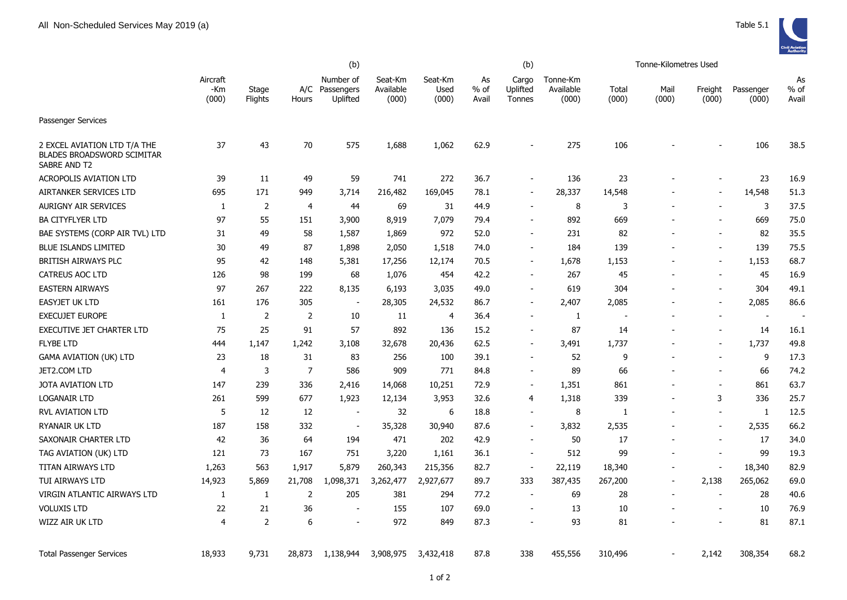

|                                                                                   | (b)                      |                  |                |                                     |                               |                          |                       | (b)                         |                                | Tonne-Kilometres Used |               |                          |                    |                       |
|-----------------------------------------------------------------------------------|--------------------------|------------------|----------------|-------------------------------------|-------------------------------|--------------------------|-----------------------|-----------------------------|--------------------------------|-----------------------|---------------|--------------------------|--------------------|-----------------------|
|                                                                                   | Aircraft<br>-Km<br>(000) | Stage<br>Flights | A/C<br>Hours   | Number of<br>Passengers<br>Uplifted | Seat-Km<br>Available<br>(000) | Seat-Km<br>Used<br>(000) | As<br>$%$ of<br>Avail | Cargo<br>Uplifted<br>Tonnes | Tonne-Km<br>Available<br>(000) | Total<br>(000)        | Mail<br>(000) | Freight<br>(000)         | Passenger<br>(000) | As<br>$%$ of<br>Avail |
| Passenger Services                                                                |                          |                  |                |                                     |                               |                          |                       |                             |                                |                       |               |                          |                    |                       |
| 2 EXCEL AVIATION LTD T/A THE<br><b>BLADES BROADSWORD SCIMITAR</b><br>SABRE AND T2 | 37                       | 43               | 70             | 575                                 | 1,688                         | 1,062                    | 62.9                  |                             | 275                            | 106                   |               |                          | 106                | 38.5                  |
| <b>ACROPOLIS AVIATION LTD</b>                                                     | 39                       | 11               | 49             | 59                                  | 741                           | 272                      | 36.7                  |                             | 136                            | 23                    |               |                          | 23                 | 16.9                  |
| AIRTANKER SERVICES LTD                                                            | 695                      | 171              | 949            | 3,714                               | 216,482                       | 169,045                  | 78.1                  | $\overline{\phantom{a}}$    | 28,337                         | 14,548                |               | $\overline{\phantom{a}}$ | 14,548             | 51.3                  |
| <b>AURIGNY AIR SERVICES</b>                                                       | 1                        | 2                | $\overline{4}$ | 44                                  | 69                            | 31                       | 44.9                  |                             | 8                              | 3                     |               |                          | 3                  | 37.5                  |
| <b>BA CITYFLYER LTD</b>                                                           | 97                       | 55               | 151            | 3,900                               | 8,919                         | 7,079                    | 79.4                  |                             | 892                            | 669                   |               |                          | 669                | 75.0                  |
| BAE SYSTEMS (CORP AIR TVL) LTD                                                    | 31                       | 49               | 58             | 1,587                               | 1,869                         | 972                      | 52.0                  |                             | 231                            | 82                    |               |                          | 82                 | 35.5                  |
| <b>BLUE ISLANDS LIMITED</b>                                                       | 30                       | 49               | 87             | 1,898                               | 2,050                         | 1,518                    | 74.0                  |                             | 184                            | 139                   |               |                          | 139                | 75.5                  |
| <b>BRITISH AIRWAYS PLC</b>                                                        | 95                       | 42               | 148            | 5,381                               | 17,256                        | 12,174                   | 70.5                  | $\blacksquare$              | 1,678                          | 1,153                 |               |                          | 1,153              | 68.7                  |
| <b>CATREUS AOC LTD</b>                                                            | 126                      | 98               | 199            | 68                                  | 1,076                         | 454                      | 42.2                  |                             | 267                            | 45                    |               |                          | 45                 | 16.9                  |
| <b>EASTERN AIRWAYS</b>                                                            | 97                       | 267              | 222            | 8,135                               | 6,193                         | 3,035                    | 49.0                  |                             | 619                            | 304                   |               |                          | 304                | 49.1                  |
| <b>EASYJET UK LTD</b>                                                             | 161                      | 176              | 305            | $\overline{\phantom{a}}$            | 28,305                        | 24,532                   | 86.7                  |                             | 2,407                          | 2,085                 |               |                          | 2,085              | 86.6                  |
| <b>EXECUJET EUROPE</b>                                                            | $\mathbf{1}$             | $\overline{2}$   | 2              | 10                                  | 11                            | 4                        | 36.4                  |                             | 1                              | Ĭ.                    |               | $\overline{\phantom{a}}$ | $\sim$             | $\overline{a}$        |
| EXECUTIVE JET CHARTER LTD                                                         | 75                       | 25               | 91             | 57                                  | 892                           | 136                      | 15.2                  |                             | 87                             | 14                    |               | $\blacksquare$           | 14                 | 16.1                  |
| <b>FLYBE LTD</b>                                                                  | 444                      | 1,147            | 1,242          | 3,108                               | 32,678                        | 20,436                   | 62.5                  |                             | 3,491                          | 1,737                 |               |                          | 1,737              | 49.8                  |
| <b>GAMA AVIATION (UK) LTD</b>                                                     | 23                       | 18               | 31             | 83                                  | 256                           | 100                      | 39.1                  |                             | 52                             | 9                     |               | $\overline{\phantom{a}}$ | 9                  | 17.3                  |
| JET2.COM LTD                                                                      | $\overline{4}$           | 3                | $\overline{7}$ | 586                                 | 909                           | 771                      | 84.8                  | $\sim$                      | 89                             | 66                    |               | $\sim$                   | 66                 | 74.2                  |
| <b>JOTA AVIATION LTD</b>                                                          | 147                      | 239              | 336            | 2,416                               | 14,068                        | 10,251                   | 72.9                  | $\sim$                      | 1,351                          | 861                   |               | $\overline{\phantom{a}}$ | 861                | 63.7                  |
| <b>LOGANAIR LTD</b>                                                               | 261                      | 599              | 677            | 1,923                               | 12,134                        | 3,953                    | 32.6                  | 4                           | 1,318                          | 339                   |               | 3                        | 336                | 25.7                  |
| <b>RVL AVIATION LTD</b>                                                           | 5                        | 12               | 12             | $\overline{\phantom{a}}$            | 32                            | 6                        | 18.8                  | $\sim$                      | 8                              | -1                    |               | $\sim$                   | $\mathbf{1}$       | 12.5                  |
| <b>RYANAIR UK LTD</b>                                                             | 187                      | 158              | 332            | $\overline{\phantom{a}}$            | 35,328                        | 30,940                   | 87.6                  |                             | 3,832                          | 2,535                 |               |                          | 2,535              | 66.2                  |
| SAXONAIR CHARTER LTD                                                              | 42                       | 36               | 64             | 194                                 | 471                           | 202                      | 42.9                  |                             | 50                             | 17                    |               | $\overline{\phantom{a}}$ | 17                 | 34.0                  |
| TAG AVIATION (UK) LTD                                                             | 121                      | 73               | 167            | 751                                 | 3,220                         | 1,161                    | 36.1                  |                             | 512                            | 99                    |               | $\overline{\phantom{a}}$ | 99                 | 19.3                  |
| TITAN AIRWAYS LTD                                                                 | 1,263                    | 563              | 1,917          | 5,879                               | 260,343                       | 215,356                  | 82.7                  | $\blacksquare$              | 22,119                         | 18,340                |               | $\overline{\phantom{a}}$ | 18,340             | 82.9                  |
| TUI AIRWAYS LTD                                                                   | 14,923                   | 5,869            | 21,708         | 1,098,371                           | 3,262,477                     | 2,927,677                | 89.7                  | 333                         | 387,435                        | 267,200               |               | 2,138                    | 265,062            | 69.0                  |
| VIRGIN ATLANTIC AIRWAYS LTD                                                       | 1                        | 1                | $\overline{2}$ | 205                                 | 381                           | 294                      | 77.2                  |                             | 69                             | 28                    |               | $\overline{\phantom{a}}$ | 28                 | 40.6                  |
| <b>VOLUXIS LTD</b>                                                                | 22                       | 21               | 36             |                                     | 155                           | 107                      | 69.0                  |                             | 13                             | 10                    |               |                          | 10                 | 76.9                  |
| WIZZ AIR UK LTD                                                                   | $\overline{4}$           | $\overline{2}$   | 6              |                                     | 972                           | 849                      | 87.3                  |                             | 93                             | 81                    |               |                          | 81                 | 87.1                  |
| <b>Total Passenger Services</b>                                                   | 18,933                   | 9,731            | 28,873         | 1,138,944                           | 3,908,975                     | 3,432,418                | 87.8                  | 338                         | 455,556                        | 310,496               |               | 2,142                    | 308,354            | 68.2                  |